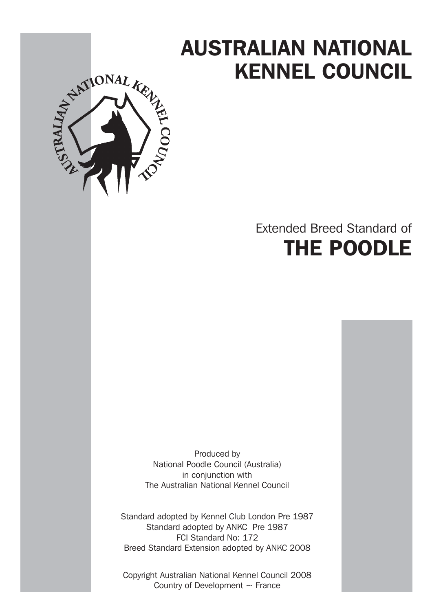# AUSTRALIAN NATIONAL KENNEL COUNCIL



# Extended Breed Standard of THE POODLE

Produced by National Poodle Council (Australia) in conjunction with The Australian National Kennel Council

Standard adopted by Kennel Club London Pre 1987 Standard adopted by ANKC Pre 1987 FCI Standard No: 172 Breed Standard Extension adopted by ANKC 2008

Copyright Australian National Kennel Council 2008 Country of Development  $\sim$  France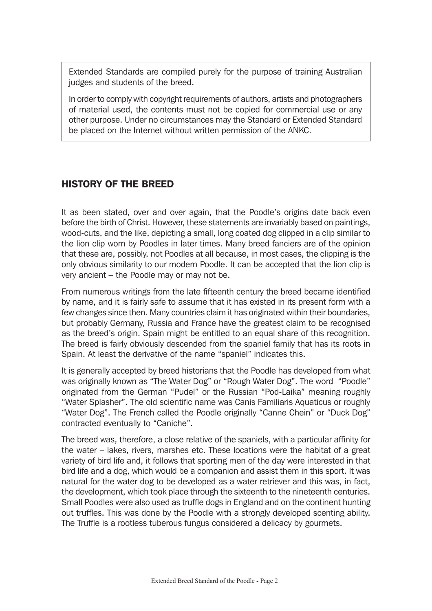Extended Standards are compiled purely for the purpose of training Australian judges and students of the breed.

In order to comply with copyright requirements of authors, artists and photographers of material used, the contents must not be copied for commercial use or any other purpose. Under no circumstances may the Standard or Extended Standard be placed on the Internet without written permission of the ANKC.

# HISTORY OF THE BREED

It as been stated, over and over again, that the Poodle's origins date back even before the birth of Christ. However, these statements are invariably based on paintings, wood-cuts, and the like, depicting a small, long coated dog clipped in a clip similar to the lion clip worn by Poodles in later times. Many breed fanciers are of the opinion that these are, possibly, not Poodles at all because, in most cases, the clipping is the only obvious similarity to our modern Poodle. It can be accepted that the lion clip is very ancient – the Poodle may or may not be.

From numerous writings from the late fifteenth century the breed became identified by name, and it is fairly safe to assume that it has existed in its present form with a few changes since then. Many countries claim it has originated within their boundaries, but probably Germany, Russia and France have the greatest claim to be recognised as the breed's origin. Spain might be entitled to an equal share of this recognition. The breed is fairly obviously descended from the spaniel family that has its roots in Spain. At least the derivative of the name "spaniel" indicates this.

It is generally accepted by breed historians that the Poodle has developed from what was originally known as "The Water Dog" or "Rough Water Dog". The word "Poodle" originated from the German "Pudel" or the Russian "Pod-Laika" meaning roughly "Water Splasher". The old scientific name was Canis Familiaris Aquaticus or roughly "Water Dog". The French called the Poodle originally "Canne Chein" or "Duck Dog" contracted eventually to "Caniche".

The breed was, therefore, a close relative of the spaniels, with a particular affinity for the water – lakes, rivers, marshes etc. These locations were the habitat of a great variety of bird life and, it follows that sporting men of the day were interested in that bird life and a dog, which would be a companion and assist them in this sport. It was natural for the water dog to be developed as a water retriever and this was, in fact, the development, which took place through the sixteenth to the nineteenth centuries. Small Poodles were also used as truffle dogs in England and on the continent hunting out truffles. This was done by the Poodle with a strongly developed scenting ability. The Truffle is a rootless tuberous fungus considered a delicacy by gourmets.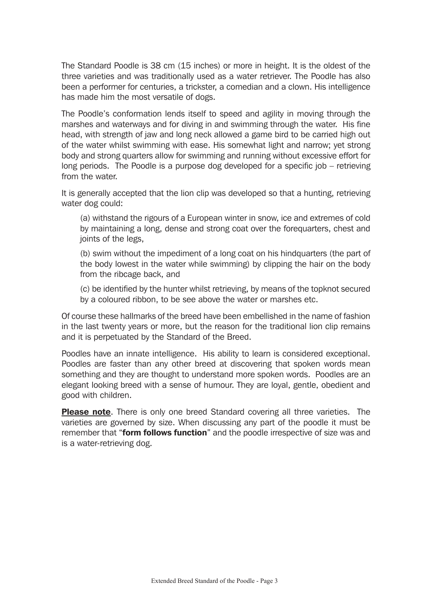The Standard Poodle is 38 cm (15 inches) or more in height. It is the oldest of the three varieties and was traditionally used as a water retriever. The Poodle has also been a performer for centuries, a trickster, a comedian and a clown. His intelligence has made him the most versatile of dogs.

The Poodle's conformation lends itself to speed and agility in moving through the marshes and waterways and for diving in and swimming through the water. His fine head, with strength of jaw and long neck allowed a game bird to be carried high out of the water whilst swimming with ease. His somewhat light and narrow; yet strong body and strong quarters allow for swimming and running without excessive effort for long periods. The Poodle is a purpose dog developed for a specific job – retrieving from the water.

It is generally accepted that the lion clip was developed so that a hunting, retrieving water dog could:

(a) withstand the rigours of a European winter in snow, ice and extremes of cold by maintaining a long, dense and strong coat over the forequarters, chest and joints of the legs,

(b) swim without the impediment of a long coat on his hindquarters (the part of the body lowest in the water while swimming) by clipping the hair on the body from the ribcage back, and

(c) be identified by the hunter whilst retrieving, by means of the topknot secured by a coloured ribbon, to be see above the water or marshes etc.

Of course these hallmarks of the breed have been embellished in the name of fashion in the last twenty years or more, but the reason for the traditional lion clip remains and it is perpetuated by the Standard of the Breed.

Poodles have an innate intelligence. His ability to learn is considered exceptional. Poodles are faster than any other breed at discovering that spoken words mean something and they are thought to understand more spoken words. Poodles are an elegant looking breed with a sense of humour. They are loyal, gentle, obedient and good with children.

**Please note.** There is only one breed Standard covering all three varieties. The varieties are governed by size. When discussing any part of the poodle it must be remember that "**form follows function**" and the poodle irrespective of size was and is a water-retrieving dog.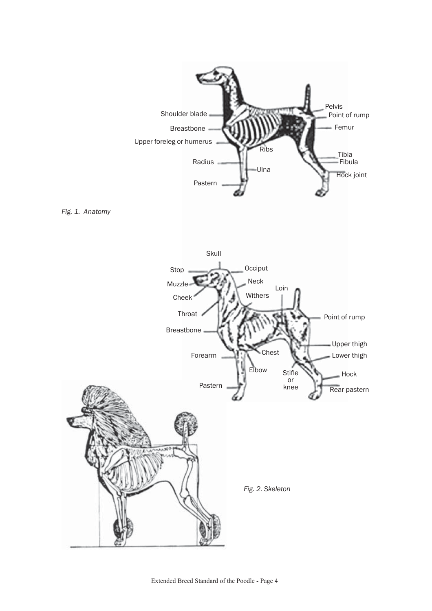



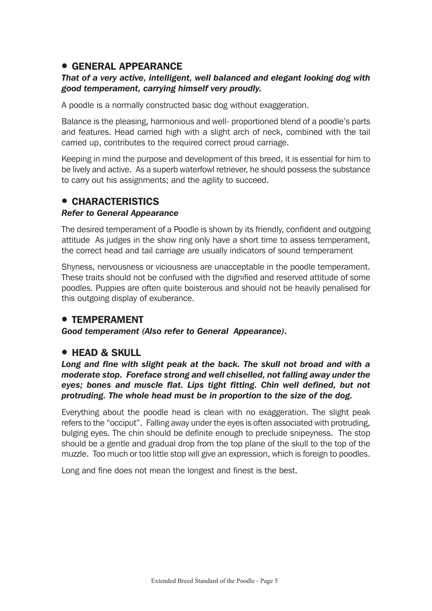# **• GENERAL APPEARANCE**

#### *That of a very active, intelligent, well balanced and elegant looking dog with good temperament, carrying himself very proudly.*

A poodle is a normally constructed basic dog without exaggeration.

Balance is the pleasing, harmonious and well- proportioned blend of a poodle's parts and features. Head carried high with a slight arch of neck, combined with the tail carried up, contributes to the required correct proud carriage.

Keeping in mind the purpose and development of this breed, it is essential for him to be lively and active. As a superb waterfowl retriever, he should possess the substance to carry out his assignments; and the agility to succeed.

# **• CHARACTERISTICS**

#### *Refer to General Appearance*

The desired temperament of a Poodle is shown by its friendly, confident and outgoing attitude As judges in the show ring only have a short time to assess temperament, the correct head and tail carriage are usually indicators of sound temperament

Shyness, nervousness or viciousness are unacceptable in the poodle temperament. These traits should not be confused with the dignified and reserved attitude of some poodles. Puppies are often quite boisterous and should not be heavily penalised for this outgoing display of exuberance.

#### **• TEMPERAMENT**

*Good temperament (Also refer to General Appearance).*

# **• HEAD & SKULL**

*Long and fine with slight peak at the back. The skull not broad and with a moderate stop. Foreface strong and well chiselled, not falling away under the eyes; bones and muscle flat. Lips tight fitting. Chin well defined, but not protruding. The whole head must be in proportion to the size of the dog.*

Everything about the poodle head is clean with no exaggeration. The slight peak refers to the "occiput". Falling away under the eyes is often associated with protruding, bulging eyes. The chin should be definite enough to preclude snipeyness. The stop should be a gentle and gradual drop from the top plane of the skull to the top of the muzzle. Too much or too little stop will give an expression, which is foreign to poodles.

Long and fine does not mean the longest and finest is the best.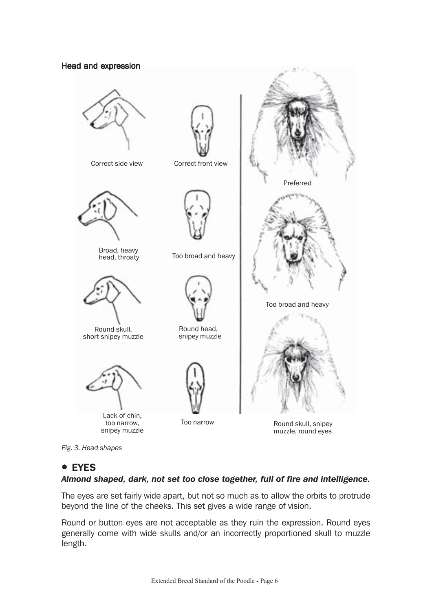#### Head and expression



Correct side view Correct front view



Broad, heavy<br>head, throaty



Round skull, short snipey muzzle



Lack of chin, too narrow, snipey muzzle







Too broad and heavy



Round head, snipey muzzle



Round skull, snipey muzzle, round eyes

Too broad and heavy

Preferred

*Fig. 3. Head shapes*

# **• EYES**

#### *Almond shaped, dark, not set too close together, full of fire and intelligence.*

The eyes are set fairly wide apart, but not so much as to allow the orbits to protrude beyond the line of the cheeks. This set gives a wide range of vision.

Round or button eyes are not acceptable as they ruin the expression. Round eyes generally come with wide skulls and/or an incorrectly proportioned skull to muzzle length.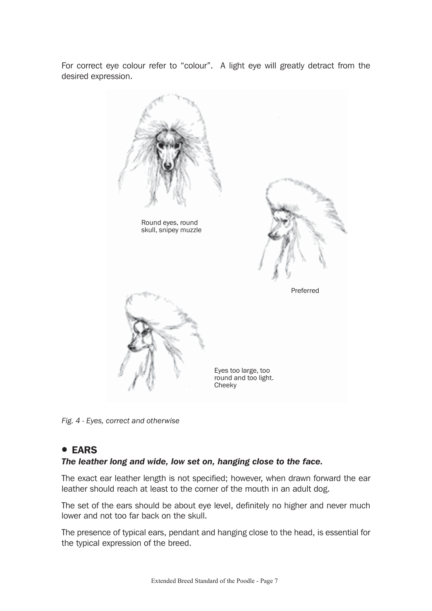For correct eye colour refer to "colour". A light eye will greatly detract from the desired expression.



*Fig. 4 - Eyes, correct and otherwise*

# ! EARS

#### *The leather long and wide, low set on, hanging close to the face.*

The exact ear leather length is not specified; however, when drawn forward the ear leather should reach at least to the corner of the mouth in an adult dog.

The set of the ears should be about eye level, definitely no higher and never much lower and not too far back on the skull.

The presence of typical ears, pendant and hanging close to the head, is essential for the typical expression of the breed.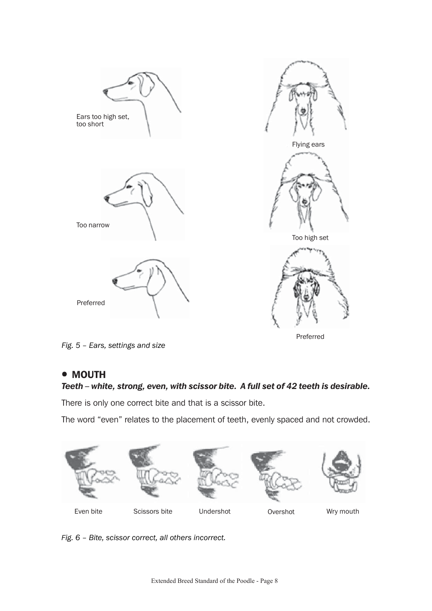

*Fig. 5 – Ears, settings and size*

#### • MOUTH

# *Teeth – white, strong, even, with scissor bite. A full set of 42 teeth is desirable.*

There is only one correct bite and that is a scissor bite.

The word "even" relates to the placement of teeth, evenly spaced and not crowded.



*Fig. 6 – Bite, scissor correct, all others incorrect.*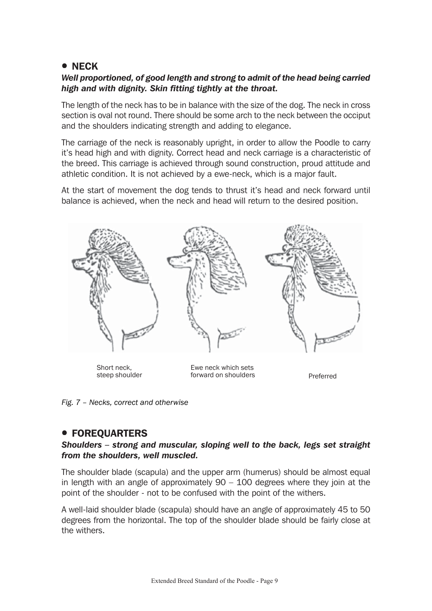# **• NECK**

## *Well proportioned, of good length and strong to admit of the head being carried high and with dignity. Skin fitting tightly at the throat.*

The length of the neck has to be in balance with the size of the dog. The neck in cross section is oval not round. There should be some arch to the neck between the occiput and the shoulders indicating strength and adding to elegance.

The carriage of the neck is reasonably upright, in order to allow the Poodle to carry it's head high and with dignity. Correct head and neck carriage is a characteristic of the breed. This carriage is achieved through sound construction, proud attitude and athletic condition. It is not achieved by a ewe-neck, which is a major fault.

At the start of movement the dog tends to thrust it's head and neck forward until balance is achieved, when the neck and head will return to the desired position.



Short neck, steep shoulder

Ewe neck which sets forward on shoulders **Preferred** 

*Fig. 7 – Necks, correct and otherwise*

# **• FOREOUARTERS**

#### *Shoulders – strong and muscular, sloping well to the back, legs set straight from the shoulders, well muscled.*

The shoulder blade (scapula) and the upper arm (humerus) should be almost equal in length with an angle of approximately  $90 - 100$  degrees where they join at the point of the shoulder - not to be confused with the point of the withers.

A well-laid shoulder blade (scapula) should have an angle of approximately 45 to 50 degrees from the horizontal. The top of the shoulder blade should be fairly close at the withers.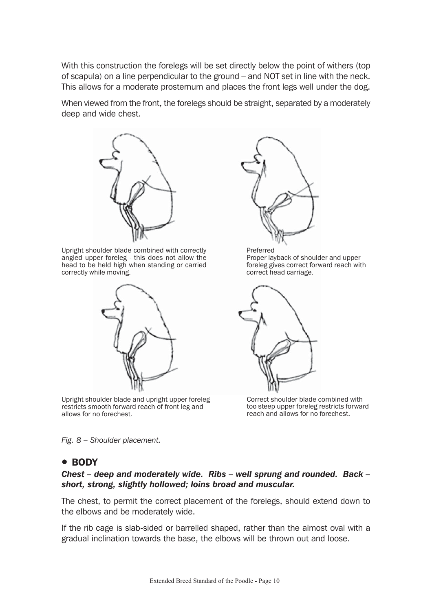With this construction the forelegs will be set directly below the point of withers (top of scapula) on a line perpendicular to the ground – and NOT set in line with the neck. This allows for a moderate prosternum and places the front legs well under the dog.

When viewed from the front, the forelegs should be straight, separated by a moderately deep and wide chest.



Upright shoulder blade combined with correctly angled upper foreleg - this does not allow the head to be held high when standing or carried correctly while moving.



Upright shoulder blade and upright upper foreleg restricts smooth forward reach of front leg and allows for no forechest.

*Fig. 8 – Shoulder placement.*

# • BODY

#### *Chest – deep and moderately wide. Ribs – well sprung and rounded. Back – short, strong, slightly hollowed; loins broad and muscular.*

The chest, to permit the correct placement of the forelegs, should extend down to the elbows and be moderately wide.

If the rib cage is slab-sided or barrelled shaped, rather than the almost oval with a gradual inclination towards the base, the elbows will be thrown out and loose.



Preferred Proper layback of shoulder and upper foreleg gives correct forward reach with correct head carriage.



Correct shoulder blade combined with too steep upper foreleg restricts forward reach and allows for no forechest.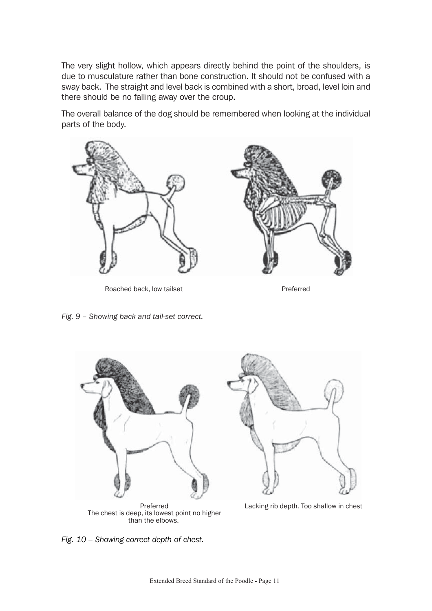The very slight hollow, which appears directly behind the point of the shoulders, is due to musculature rather than bone construction. It should not be confused with a sway back. The straight and level back is combined with a short, broad, level loin and there should be no falling away over the croup.

The overall balance of the dog should be remembered when looking at the individual parts of the body.



Roached back, low tailset **Preferred** 

*Fig. 9 – Showing back and tail-set correct.*



The chest is deep, its lowest point no higher than the elbows.

*Fig. 10 – Showing correct depth of chest.*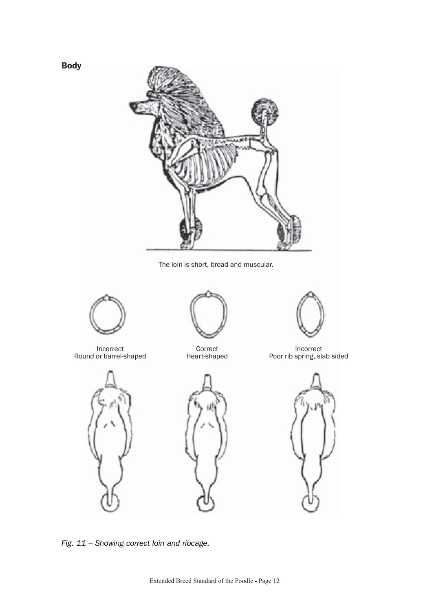

The loin is short, broad and muscular.



Body

Incorrect Round or barrel-shaped



Correct Heart-shaped





Incorrect Poor rib spring, slab sided







*Fig. 11 – Showing correct loin and ribcage.*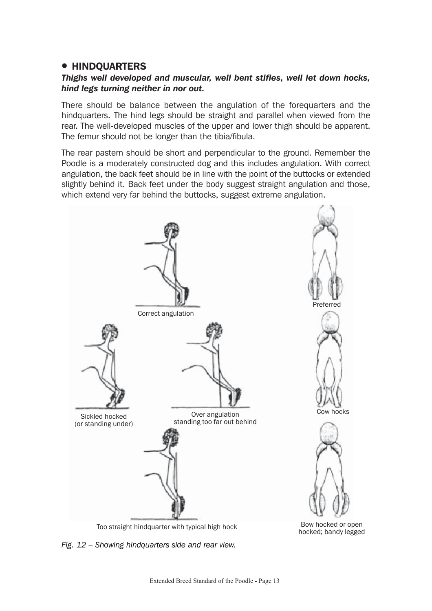# **• HINDOUARTERS**

## *Thighs well developed and muscular, well bent stifles, well let down hocks, hind legs turning neither in nor out.*

There should be balance between the angulation of the forequarters and the hindquarters. The hind legs should be straight and parallel when viewed from the rear. The well-developed muscles of the upper and lower thigh should be apparent. The femur should not be longer than the tibia/fibula.

The rear pastern should be short and perpendicular to the ground. Remember the Poodle is a moderately constructed dog and this includes angulation. With correct angulation, the back feet should be in line with the point of the buttocks or extended slightly behind it. Back feet under the body suggest straight angulation and those, which extend very far behind the buttocks, suggest extreme angulation.



*Fig. 12 – Showing hindquarters side and rear view.*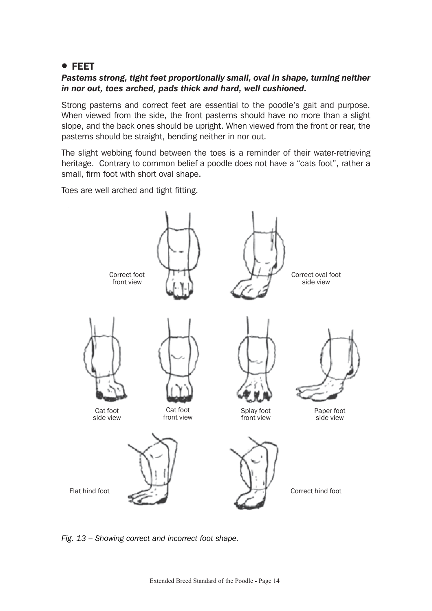# ! FEET

## *Pasterns strong, tight feet proportionally small, oval in shape, turning neither in nor out, toes arched, pads thick and hard, well cushioned.*

Strong pasterns and correct feet are essential to the poodle's gait and purpose. When viewed from the side, the front pasterns should have no more than a slight slope, and the back ones should be upright. When viewed from the front or rear, the pasterns should be straight, bending neither in nor out.

The slight webbing found between the toes is a reminder of their water-retrieving heritage. Contrary to common belief a poodle does not have a "cats foot", rather a small, firm foot with short oval shape.

Toes are well arched and tight fitting.



*Fig. 13 – Showing correct and incorrect foot shape.*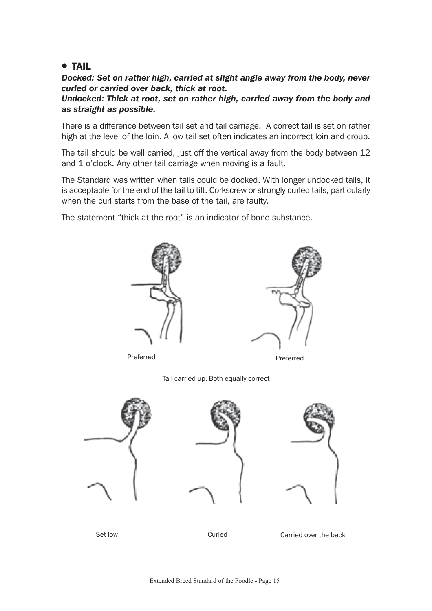# **• TAIL**

*Docked: Set on rather high, carried at slight angle away from the body, never curled or carried over back, thick at root.*

*Undocked: Thick at root, set on rather high, carried away from the body and as straight as possible.*

There is a difference between tail set and tail carriage. A correct tail is set on rather high at the level of the loin. A low tail set often indicates an incorrect loin and croup.

The tail should be well carried, just off the vertical away from the body between 12 and 1 o'clock. Any other tail carriage when moving is a fault.

The Standard was written when tails could be docked. With longer undocked tails, it is acceptable for the end of the tail to tilt. Corkscrew or strongly curled tails, particularly when the curl starts from the base of the tail, are faulty.

The statement "thick at the root" is an indicator of bone substance.



Set low Curled Curled Carried over the back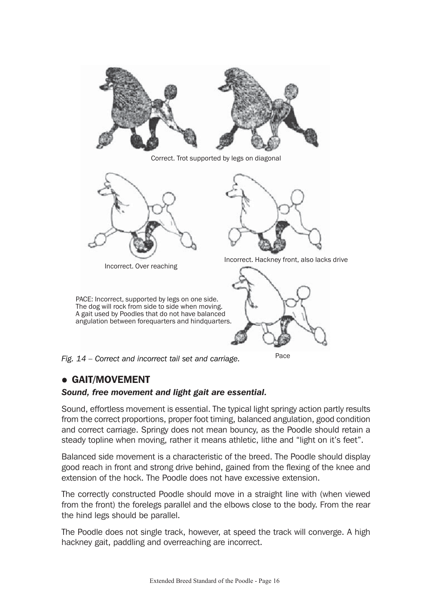

Correct. Trot supported by legs on diagonal



Incorrect. Over reaching

PACE: Incorrect, supported by legs on one side.



Incorrect. Hackney front, also lacks drive



Pace

*Fig. 14 – Correct and incorrect tail set and carriage.*

# **• GAIT/MOVEMENT**

#### *Sound, free movement and light gait are essential.*

Sound, effortless movement is essential. The typical light springy action partly results from the correct proportions, proper foot timing, balanced angulation, good condition and correct carriage. Springy does not mean bouncy, as the Poodle should retain a steady topline when moving, rather it means athletic, lithe and "light on it's feet".

Balanced side movement is a characteristic of the breed. The Poodle should display good reach in front and strong drive behind, gained from the flexing of the knee and extension of the hock. The Poodle does not have excessive extension.

The correctly constructed Poodle should move in a straight line with (when viewed from the front) the forelegs parallel and the elbows close to the body. From the rear the hind legs should be parallel.

The Poodle does not single track, however, at speed the track will converge. A high hackney gait, paddling and overreaching are incorrect.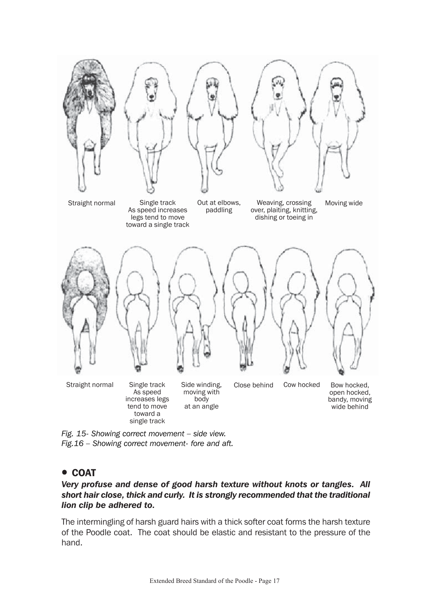

*Fig. 15- Showing correct movement – side view. Fig.16 – Showing correct movement- fore and aft.*

# ! COAT

#### *Very profuse and dense of good harsh texture without knots or tangles. All short hair close, thick and curly. It is strongly recommended that the traditional lion clip be adhered to.*

The intermingling of harsh guard hairs with a thick softer coat forms the harsh texture of the Poodle coat. The coat should be elastic and resistant to the pressure of the hand.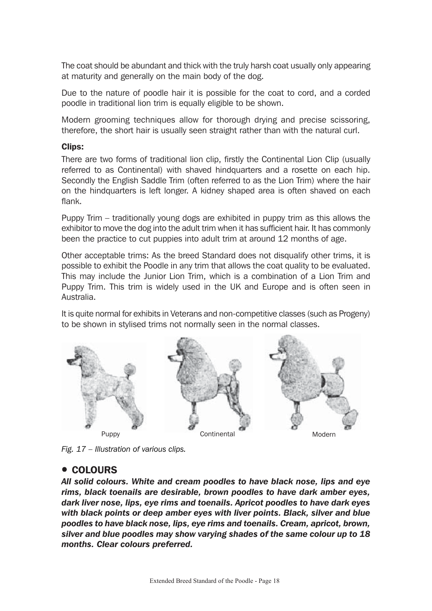The coat should be abundant and thick with the truly harsh coat usually only appearing at maturity and generally on the main body of the dog.

Due to the nature of poodle hair it is possible for the coat to cord, and a corded poodle in traditional lion trim is equally eligible to be shown.

Modern grooming techniques allow for thorough drying and precise scissoring, therefore, the short hair is usually seen straight rather than with the natural curl.

#### Clips:

There are two forms of traditional lion clip, firstly the Continental Lion Clip (usually referred to as Continental) with shaved hindquarters and a rosette on each hip. Secondly the English Saddle Trim (often referred to as the Lion Trim) where the hair on the hindquarters is left longer. A kidney shaped area is often shaved on each flank.

Puppy Trim – traditionally young dogs are exhibited in puppy trim as this allows the exhibitor to move the dog into the adult trim when it has sufficient hair. It has commonly been the practice to cut puppies into adult trim at around 12 months of age.

Other acceptable trims: As the breed Standard does not disqualify other trims, it is possible to exhibit the Poodle in any trim that allows the coat quality to be evaluated. This may include the Junior Lion Trim, which is a combination of a Lion Trim and Puppy Trim. This trim is widely used in the UK and Europe and is often seen in Australia.

It is quite normal for exhibits in Veterans and non-competitive classes (such as Progeny) to be shown in stylised trims not normally seen in the normal classes.



*Fig. 17 – Illustration of various clips.*

# **• COLOURS**

*All solid colours. White and cream poodles to have black nose, lips and eye rims, black toenails are desirable, brown poodles to have dark amber eyes, dark liver nose, lips, eye rims and toenails. Apricot poodles to have dark eyes with black points or deep amber eyes with liver points. Black, silver and blue poodles to have black nose, lips, eye rims and toenails. Cream, apricot, brown, silver and blue poodles may show varying shades of the same colour up to 18 months. Clear colours preferred.*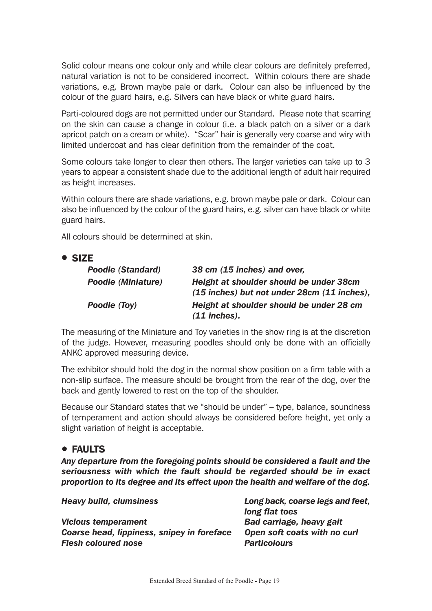Solid colour means one colour only and while clear colours are definitely preferred, natural variation is not to be considered incorrect. Within colours there are shade variations, e.g. Brown maybe pale or dark. Colour can also be influenced by the colour of the guard hairs, e.g. Silvers can have black or white guard hairs.

Parti-coloured dogs are not permitted under our Standard. Please note that scarring on the skin can cause a change in colour (i.e. a black patch on a silver or a dark apricot patch on a cream or white). "Scar" hair is generally very coarse and wiry with limited undercoat and has clear definition from the remainder of the coat.

Some colours take longer to clear then others. The larger varieties can take up to 3 years to appear a consistent shade due to the additional length of adult hair required as height increases.

Within colours there are shade variations, e.g. brown maybe pale or dark. Colour can also be influenced by the colour of the guard hairs, e.g. silver can have black or white guard hairs.

All colours should be determined at skin.

|--|

| <b>Poodle (Standard)</b>  | 38 cm (15 inches) and over,                                                            |
|---------------------------|----------------------------------------------------------------------------------------|
| <b>Poodle (Miniature)</b> | Height at shoulder should be under 38cm<br>(15 inches) but not under 28cm (11 inches), |
| Poodle (Toy)              | Height at shoulder should be under 28 cm<br>$(11$ inches).                             |

The measuring of the Miniature and Toy varieties in the show ring is at the discretion of the judge. However, measuring poodles should only be done with an officially ANKC approved measuring device.

The exhibitor should hold the dog in the normal show position on a firm table with a non-slip surface. The measure should be brought from the rear of the dog, over the back and gently lowered to rest on the top of the shoulder.

Because our Standard states that we "should be under" – type, balance, soundness of temperament and action should always be considered before height, yet only a slight variation of height is acceptable.

# ! FAULTS

*Any departure from the foregoing points should be considered a fault and the seriousness with which the fault should be regarded should be in exact proportion to its degree and its effect upon the health and welfare of the dog.*

*Heavy build, clumsiness Long back, coarse legs and feet, long flat toes Vicious temperament Bad carriage, heavy gait Coarse head, lippiness, snipey in foreface Open soft coats with no curl Flesh coloured nose Particolours*